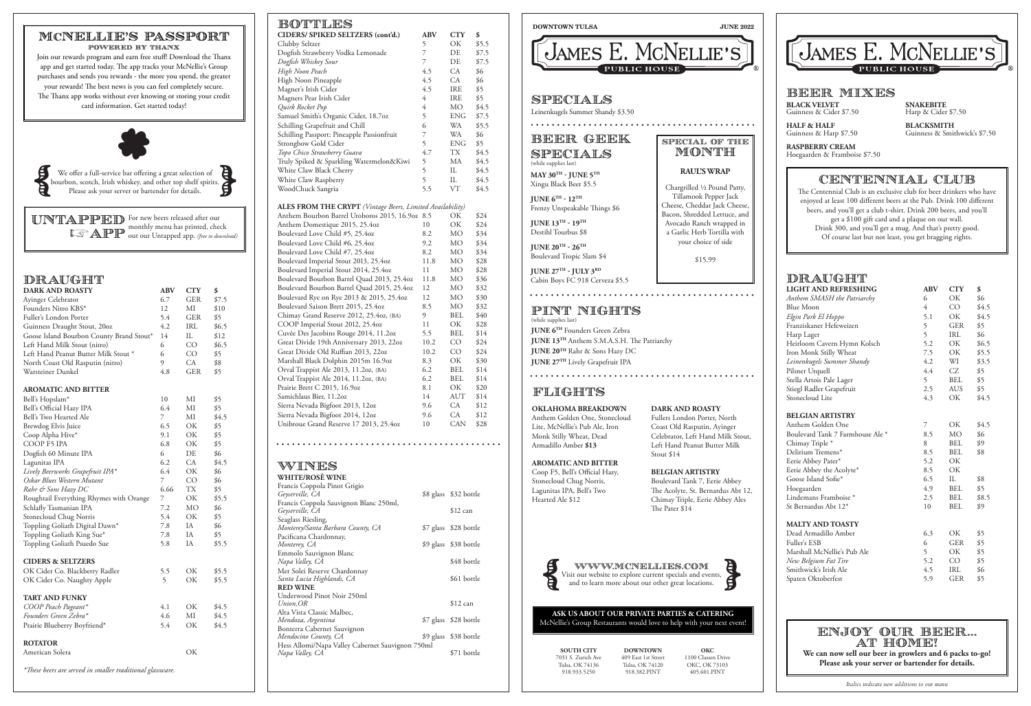# DRAUGHT

| <b>LIGHT AND REFRESHING</b>      | <b>ABV</b>     | <b>CTY</b>      | \$    |
|----------------------------------|----------------|-----------------|-------|
| Anthem SMASH the Patriarchy      | 6              | OK              | \$6   |
| <b>Blue Moon</b>                 | 4              | CO              | \$4.5 |
| Elgin Park El Hoppo              | 5.1            | ОK              | \$4.5 |
| Franziskaner Hefeweizen          | 5              | <b>GER</b>      | \$5   |
| Harp Lager                       | 5              | <b>IRL</b>      | \$6   |
| Heirloom Cavern Hymn Kolsch      | 5.2            | OK.             | \$6.5 |
| Iron Monk Stilly Wheat           | 7.5            | OK              | \$5.5 |
| Leinenkugels Summer Shandy       | 4.2            | WI              | \$3.5 |
| Pilsner Urquell                  | 4.4            | CZ              | \$5   |
| Stella Artois Pale Lager         | 5 <sup>5</sup> | <b>BEL</b>      | \$5   |
| Stiegl Radler Grapefruit         | 2.5            | <b>AUS</b>      | \$5   |
| Stonecloud Lite                  | 4.3            | ОK              | \$4.5 |
| <b>BELGIAN ARTISTRY</b>          |                |                 |       |
| Anthem Golden One                | 7              | ОK              | \$4.5 |
| Boulevard Tank 7 Farmhouse Ale * | 8.5            | <b>MO</b>       | \$6   |
| Chimay Triple*                   | 8              | <b>BEL</b>      | \$9   |
| Delirium Tremens*                | 8.5            | <b>BEL</b>      | \$8   |
| Eerie Abbey Pater*               | 5.2            | ОK              |       |
| Eerie Abbey the Acolyte*         | 8.5            | OK              |       |
| Goose Island Sofie*              | 6.5            | IL              | \$8   |
| Hoegaarden                       | 4.9            | <b>BEL</b>      | \$5   |
| Lindemans Framboise <sup>*</sup> | 2.5            | <b>BEL</b>      | \$8.5 |
| St Bernardus Abt 12*             | 10             | <b>BEL</b>      | \$9   |
| <b>MALTY AND TOASTY</b>          |                |                 |       |
| Dead Armadillo Amber             | 6.3            | OK              | \$5   |
| Fuller's ESB                     | 6              | <b>GER</b>      | \$5   |
| Marshall McNellie's Pub Ale      | 5              | OK              | \$5   |
| New Belgium Fat Tire             | 5.2            | CO <sub>.</sub> | \$5   |
| Smithwick's Irish Ale            | 4.5            | IRL             | \$6   |
| Spaten Oktoberfest               | 5.9            | <b>GER</b>      | \$5   |

| DRAUGHT                |  |
|------------------------|--|
| <b>DARK AND ROASTY</b> |  |

| <b>DARK AND ROASTY</b>                   | <b>ABV</b> | <b>CTY</b> | \$    |
|------------------------------------------|------------|------------|-------|
| Ayinger Celebrator                       | 6.7        | <b>GER</b> | \$7.5 |
| Founders Nitro KBS*                      | 12         | МI         | \$10  |
| Fuller's London Porter                   | 5.4        | <b>GER</b> | \$5   |
| Guinness Draught Stout, 20oz             | 4.2        | IRL        | \$6.5 |
| Goose Island Bourbon County Brand Stout* | 14         | $\rm IL$   | \$12  |
| Left Hand Milk Stout (nitro)             | 6          | CO         | \$6.5 |
| Left Hand Peanut Butter Milk Stout *     | 6          | CO         | \$5   |
| North Coast Old Rasputin (nitro)         | 9          | CA         | \$8   |
| Warsteiner Dunkel                        | 4.8        | <b>GER</b> | \$5   |
| <b>AROMATIC AND BITTER</b>               |            |            |       |
| Bell's Hopslam*                          | 10         | МI         | \$5   |
| Bell's Official Hazy IPA                 | 6.4        | MI         | \$5   |
| Bell's Two Hearted Ale                   | 7          | $\rm MI$   | \$4.5 |
| <b>Brewdog Elvis Juice</b>               | 6.5        | OK         | \$5   |
| Coop Alpha Hive*                         | 9.1        | OK         | \$5   |
| COOP F5 IPA                              | 6.8        | OK         | \$5   |
| Dogfish 60 Minute IPA                    | 6          | DE         | \$6   |
| Lagunitas IPA                            | 6.2        | CA         | \$4.5 |
| Lively Beerworks Grapefruit IPA*         | 6.4        | OK         | \$6   |
| Oskar Blues Western Mutant               | 7          | CO         | \$6   |
| Rahr & Sons Hazy DC                      | 6.66       | <b>TX</b>  | \$5   |
| Roughtail Everything Rhymes with Orange  | 7          | OK         | \$5.5 |
| Schlafly Tasmanian IPA                   | 7.2        | <b>MO</b>  | \$6   |
| Stonecloud Chug Norris                   | 5.4        | OK         | \$5   |
| Toppling Goliath Digital Dawn*           | 7.8        | IA         | \$6   |
| Toppling Goliath King Sue*               | 7.8        | IA         | \$5   |
| Toppling Goliath Psuedo Sue              | 5.8        | IA         | \$5.5 |
| <b>CIDERS &amp; SELTZERS</b>             |            |            |       |
| OK Cider Co. Blackberry Radler           | 5.5        | OK         | \$5.5 |
| OK Cider Co. Naughty Apple               | 5          | OK         | \$5.5 |
| TART AND FUNKY                           |            |            |       |
| COOP Peach Pageant*                      | 4.1        | OK         | \$4.5 |
| Founders Green Zebra*                    | 4.6        | MI         | \$4.5 |
| Prairie Blueberry Boyfriend*             | 5.4        | OK         | \$4.5 |
| <b>ROTATOR</b>                           |            |            |       |
| American Solera                          |            | OK         |       |

*\*These beers are served in smaller traditional glassware.*

Mer Solei Reserve Chardonnay

 $B$ 

**RED WINE**

Underwood Pinot Noir 250ml

Alta Vista Classic Malbec,

*Mendoza, Argentina* \$7 glass \$28 bottle

| BU'I'I'LLS                                                       |                       |                       |       |
|------------------------------------------------------------------|-----------------------|-----------------------|-------|
| CIDERS/ SPIKED SELTZERS (cont'd.)                                | ABV                   | <b>CTY</b>            | \$    |
| Clubby Seltzer                                                   | 5                     | OK                    | \$5.5 |
| Dogfish Strawberry Vodka Lemonade                                | $\overline{7}$        | DE                    | \$7.5 |
| Dogfish Whiskey Sour                                             | $\overline{7}$        | DE                    | \$7.5 |
| High Noon Peach                                                  | 4.5                   | CA                    | \$6   |
| High Noon Pineapple                                              | 4.5                   | CA                    | \$6   |
| Magner's Irish Cider                                             | 4.5                   | <b>IRE</b>            | \$5   |
| Magners Pear Irish Cider                                         | $\overline{4}$        | IRE                   | \$5   |
| Quirk Rocket Pop                                                 | $\overline{4}$        | МO                    | \$4.5 |
| Samuel Smith's Organic Cider, 18.7oz                             | 5                     | <b>ENG</b>            | \$7.5 |
| Schilling Grapefruit and Chill                                   | 6                     | WA                    | \$5.5 |
| Schilling Passport: Pineapple Passionfruit                       | 7                     | WA                    | \$6   |
| Strongbow Gold Cider                                             | 5                     | <b>ENG</b>            | \$5   |
| Topo Chico Strawberry Guava                                      | 4.7                   | TХ                    | \$4.5 |
|                                                                  | 5                     | МA                    | \$4.5 |
| Truly Spiked & Sparkling Watermelon&Kiwi                         | 5                     | IL                    |       |
| White Claw Black Cherry                                          |                       |                       | \$4.5 |
| White Claw Raspberry                                             | 5                     | IL                    | \$4.5 |
| WoodChuck Sangria                                                | 5.5                   | VT                    | \$4.5 |
|                                                                  |                       |                       |       |
| <b>ALES FROM THE CRYPT</b> (Vintage Beers, Limited Availability) |                       |                       |       |
| Anthem Bourbon Barrel Uroboros 2015, 16.9oz 8.5                  |                       | ОK                    | \$24  |
| Anthem Domestique 2015, 25.4oz                                   | 10                    | OK                    | \$24  |
| Boulevard Love Child #5, 25.4oz                                  | 8.2                   | MO                    | \$34  |
| Boulevard Love Child #6, 25.4oz                                  | 9.2                   | МO                    | \$34  |
| Boulevard Love Child #7, 25.4oz                                  | 8.2                   | МO                    | \$34  |
| Boulevard Imperial Stout 2013, 25.4oz                            | 11.8                  | МO                    | \$28  |
| Boulevard Imperial Stout 2014, 25.4oz                            | 11                    | МO                    | \$28  |
| Boulevard Bourbon Barrel Quad 2013, 25.4oz                       | 11.8                  | МO                    | \$36  |
| Boulevard Bourbon Barrel Quad 2015, 25.4oz                       | 12                    | МO                    | \$32  |
| Boulevard Rye on Rye 2013 & 2015, 25.4oz                         | 12                    | МO                    | \$30  |
| Boulevard Saison Brett 2015, 25.4oz                              | 8.5                   | МO                    | \$32  |
| Chimay Grand Reserve 2012, 25.4oz, (BA)                          | 9                     | BEL                   | \$40  |
| COOP Imperial Stout 2012, 25.4oz                                 | 11                    | OK                    | \$28  |
| Cuvée Des Jacobins Rouge 2014, 11.2oz                            | 5.5                   | BEL                   | \$14  |
| Great Divide 19th Anniversary 2013, 22oz                         | 10.2                  | <b>CO</b>             | \$24  |
| Great Divide Old Ruffian 2013, 22oz                              | 10.2                  | CO                    | \$24  |
| Marshall Black Dolphin 2015m 16.9oz                              | 8.3                   | ОK                    | \$30  |
| Orval Trappist Ale 2013, 11.2oz, (BA)                            | 6.2                   | BEL                   | \$14  |
| Orval Trappist Ale 2014, 11.2oz, (BA)                            | 6.2                   | <b>BEL</b>            | \$14  |
| Prairie Brett C 2015, 16.9oz                                     | 8.1                   | ОK                    | \$20  |
| Samichlaus Bier, 11.2oz                                          | 14                    | AUT                   | \$14  |
| Sierra Nevada Bigfoot 2013, 12oz                                 | 9.6                   | CA                    | \$12  |
| Sierra Nevada Bigfoot 2014, 12oz                                 | 9.6                   | CA                    | \$12  |
| Unibroue Grand Reserve 17 2013, 25.4oz                           | 10                    | <b>CAN</b>            | \$28  |
|                                                                  |                       |                       |       |
|                                                                  |                       |                       |       |
|                                                                  |                       |                       |       |
|                                                                  |                       |                       |       |
| WINES                                                            |                       |                       |       |
| <b>WHITE/ROSĚ WINE</b>                                           |                       |                       |       |
| Francis Coppola Pinot Grigio                                     |                       |                       |       |
| Geyserville, CA                                                  |                       | \$8 glass \$32 bottle |       |
| Francis Coppola Sauvignon Blanc 250ml,                           |                       |                       |       |
| Geyserville, CA                                                  |                       | \$12 can              |       |
| Seaglass Riesling,                                               |                       |                       |       |
| Monterey/Santa Barbara County, CA                                | \$7 glass \$28 bottle |                       |       |
| Pacificana Chardonnay,                                           |                       |                       |       |
| Monterey, CA                                                     | \$9 glass \$38 bottle |                       |       |
| Emmolo Sauvignon Blanc                                           |                       |                       |       |

*Napa Valley, CA* \$48 bottle

Santa Lucia Highlands, CA<sup>2</sup> 561 bottle

Bonterra Cabernet Sauvignon

*Mendocino County, CA* \$9 glass \$38 bottle

*Napa Valley, CA*  $$71$  bottle

Hess Allomi/Napa Valley Cabernet Sauvignon 750ml

\$12 can

*Italics indicate new additions to our menu*

We offer a full-service bar offering a great selection of We offer a full-service bar offering a great selection of bourbon, scotch, Irish whiskey, and other top shelf spirits. Please ask your server or bartender for details.

UNTAPPED For new beers released after our monthly menu has printed, check out our Untapped app. *(free to download)* **Extractive** 

> WWW.MCNELLIES.com WWW.MCNELLIES.COM<br>Visit our website to explore current specials and events,<br>and to learn more about our other great locations.

## SPECIAL OF THE **MONTH**

**DOWNTOWN TULSA JUNE 2022**



# BEER GEEK SPECIALS

(while supplies last) **MAY 30TH - JUNE 5TH** Xingu Black Beer \$5.5

**JUNE 6TH - 12TH** Frenzy Unspeakable Things \$6

**JUNE 13TH - 19TH**  Destihl Tourbus \$8

**JUNE 20TH - 26TH** Boulevard Tropic Slam \$4

. . . . . . . . . . . . . . .

**JUNE 27TH - JULY 3RD** Cabin Boys FC 918 Cerveza \$5.5

## SPECIALS

Leinenkugels Summer Shandy \$3.50 

### **ASK US ABOUT OUR PRIVATE PARTIES & CATERING** McNellie's Group Restaurants would love to help with your next event!

**BLACK VELVET**  Guinness & Cider \$7.50

**HALF & HALF** Guinness & Harp \$7.50

**RASPBERRY CREAM** Hoegaarden & Framboise \$7.50

**SNAKEBITE** Harp & Cider \$7.50

**BLACKSMITH** Guinness & Smithwick's \$7.50

## BEER MIXES

## CENTENNIAL CLUB

The Centennial Club is an exclusive club for beer drinkers who have enjoyed at least 100 different beers at the Pub. Drink 100 different beers, and you'll get a club t-shirt. Drink 200 beers, and you'll get a \$100 gift card and a plaque on our wall. Drink 300, and you'll get a mug. And that's pretty good. Of course last but not least, you get bragging rights.



## MCNELLIE'S PASSPORT powered by thanx

Join our rewards program and earn free stuff! Download the Thanx app and get started today. The app tracks your McNellie's Group purchases and sends you rewards - the more you spend, the greater your rewards! The best news is you can feel completely secure. The Thanx app works without ever knowing or storing your credit card information. Get started today!

> **SOUTH CITY**  7031 S. Zurich Ave Tulsa, OK 74136 918.933.5250

**DOWNTOWN**  409 East 1st Street Tulsa, OK 74120 918.382.PINT

**OKC** 1100 Classen Drive OKC, OK 73103 405.601.PINT



# enjoy our beer... at home!

**We can now sell our beer in growlers and 6 packs to-go! Please ask your server or bartender for details.**

## **RAUL'S WRAP**

. . . . . . . . . . . . . . . . . .

Chargrilled ∕2 Pound Patty, Tillamook Pepper Jack Cheese, Cheddar Jack Cheese, Bacon, Shredded Lettuce, and Avocado Ranch wrapped in a Garlic Herb Tortilla with your choice of side

\$15.99

#### PINT NIGHTS (while supplies last)

**JUNE 6TH** Founders Green Zebra **JUNE 13TH** Anthem S.M.A.S.H. The Patriarchy **JUNE 20TH** Rahr & Sons Hazy DC **JUNE 27TH** Lively Grapefruit IPA

# **FLIGHTS**

**OKLAHOMA BREAKDOWN**

Anthem Golden One, Stonecloud Lite, McNellie's Pub Ale, Iron Monk Stilly Wheat, Dead Armadillo Amber **\$13**

#### **AROMATIC AND BITTER**

Coop F5, Bell's Official Hazy, Stonecloud Chug Norris, Lagunitas IPA, Bell's Two Hearted Ale \$12

### **DARK AND ROASTY**

Fullers London Porter, North Coast Old Rasputin, Ayinger Celebrator, Left Hand Milk Stout, Left Hand Peanut Butter Milk

Stout \$14

## **BELGIAN ARTISTRY**

Boulevard Tank 7, Eerie Abbey The Acolyte, St. Bernardus Abt 12, Chimay Triple, Eerie Abbey Ales





The Pater \$14